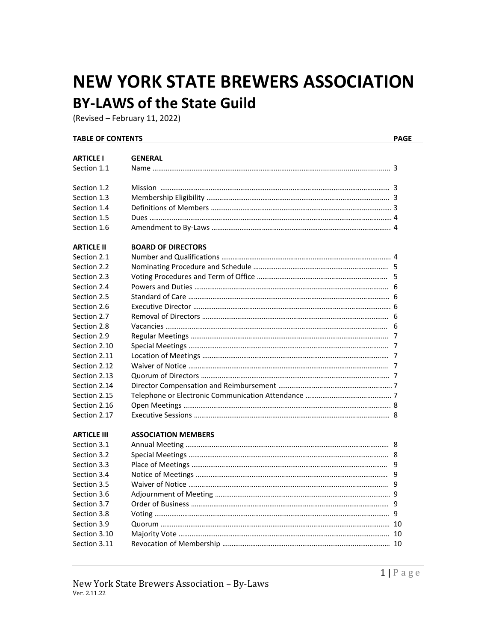# **NEW YORK STATE BREWERS ASSOCIATION BY-LAWS of the State Guild**

(Revised – February 11, 2022)

#### **TABLE OF CONTENTS PAGE**

| <b>ARTICLE I</b>   | <b>GENERAL</b>             |   |
|--------------------|----------------------------|---|
| Section 1.1        |                            |   |
| Section 1.2        |                            |   |
| Section 1.3        |                            |   |
| Section 1.4        |                            |   |
| Section 1.5        |                            |   |
| Section 1.6        |                            |   |
| <b>ARTICLE II</b>  | <b>BOARD OF DIRECTORS</b>  |   |
| Section 2.1        |                            |   |
| Section 2.2        |                            |   |
| Section 2.3        |                            | 5 |
| Section 2.4        |                            |   |
| Section 2.5        |                            |   |
| Section 2.6        |                            |   |
| Section 2.7        |                            |   |
| Section 2.8        |                            | 6 |
| Section 2.9        |                            | 7 |
| Section 2.10       |                            | 7 |
| Section 2.11       |                            |   |
| Section 2.12       |                            |   |
| Section 2.13       |                            |   |
| Section 2.14       |                            |   |
| Section 2.15       |                            |   |
| Section 2.16       |                            |   |
| Section 2.17       |                            |   |
| <b>ARTICLE III</b> | <b>ASSOCIATION MEMBERS</b> |   |
| Section 3.1        |                            |   |
| Section 3.2        |                            | 8 |
| Section 3.3        |                            | 9 |
| Section 3.4        |                            | 9 |
| Section 3.5        |                            | 9 |
| Section 3.6        |                            |   |
| Section 3.7        |                            |   |
| Section 3.8        |                            |   |
| Section 3.9        |                            |   |
| Section 3.10       |                            |   |
| Section 3.11       |                            |   |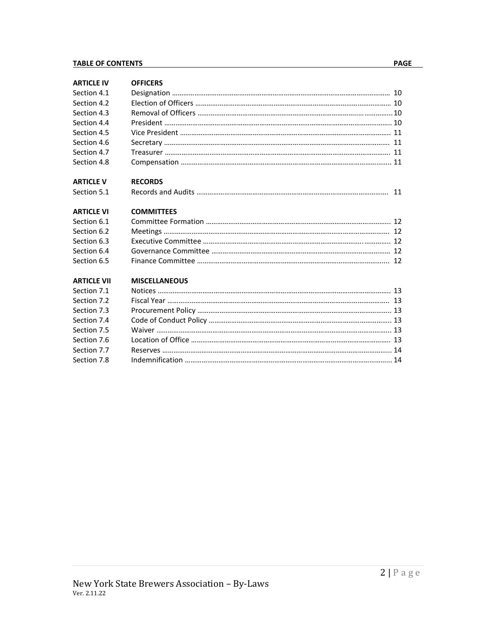#### **TABLE OF CONTENTS PAGE**

**ARTICLE IV OFFICERS**

| Section 4.1       |                   |  |
|-------------------|-------------------|--|
| Section 4.2       |                   |  |
| Section 4.3       |                   |  |
| Section 4.4       |                   |  |
| Section 4.5       |                   |  |
| Section 4.6       |                   |  |
| Section 4.7       |                   |  |
| Section 4.8       |                   |  |
| <b>ARTICLE V</b>  | <b>RECORDS</b>    |  |
| Section 5.1       |                   |  |
| <b>ARTICLE VI</b> | <b>COMMITTEES</b> |  |
| Section 6.1       |                   |  |

#### **ARTICLE VI COM** Section 6.1 Committee Formation ……………………………………………………………………………………... 12 Section 6.2 Meetings …………………………………………………………………………………………………………. 12 Section 6.3 Executive Committee …………………………………………………………………………..………….. 12 Section 6.4 Governance Committee …………………………………………………………………………………… 12

## **ARTICLE VII MISCELLANEOUS**

| Section 7.1 |  |
|-------------|--|
| Section 7.2 |  |
| Section 7.3 |  |
| Section 7.4 |  |
| Section 7.5 |  |
| Section 7.6 |  |
| Section 7.7 |  |
|             |  |

Section 6.5 Finance Committee ……………………………………………………………………………………….... 12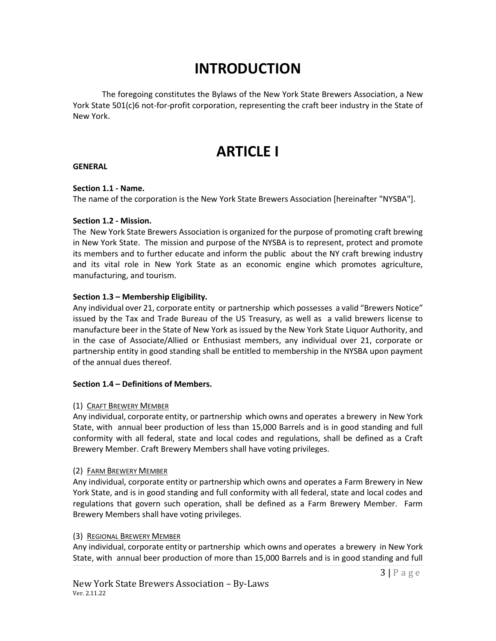# **INTRODUCTION**

The foregoing constitutes the Bylaws of the New York State Brewers Association, a New York State 501(c)6 not-for-profit corporation, representing the craft beer industry in the State of New York.

# **ARTICLE I**

### **GENERAL**

### **Section 1.1 - Name.**

The name of the corporation is the New York State Brewers Association [hereinafter "NYSBA"].

### **Section 1.2 - Mission.**

The New York State Brewers Association is organized for the purpose of promoting craft brewing in New York State. The mission and purpose of the NYSBA is to represent, protect and promote its members and to further educate and inform the public about the NY craft brewing industry and its vital role in New York State as an economic engine which promotes agriculture, manufacturing, and tourism.

## **Section 1.3 – Membership Eligibility.**

Any individual over 21, corporate entity or partnership which possesses a valid "Brewers Notice" issued by the Tax and Trade Bureau of the US Treasury, as well as a valid brewers license to manufacture beer in the State of New York as issued by the New York State Liquor Authority, and in the case of Associate/Allied or Enthusiast members, any individual over 21, corporate or partnership entity in good standing shall be entitled to membership in the NYSBA upon payment of the annual dues thereof.

#### **Section 1.4 – Definitions of Members.**

## (1) CRAFT BREWERY MEMBER

Any individual, corporate entity, or partnership which owns and operates a brewery in New York State, with annual beer production of less than 15,000 Barrels and is in good standing and full conformity with all federal, state and local codes and regulations, shall be defined as a Craft Brewery Member. Craft Brewery Members shall have voting privileges.

#### (2) FARM BREWERY MEMBER

Any individual, corporate entity or partnership which owns and operates a Farm Brewery in New York State, and is in good standing and full conformity with all federal, state and local codes and regulations that govern such operation, shall be defined as a Farm Brewery Member. Farm Brewery Members shall have voting privileges.

#### (3) REGIONAL BREWERY MEMBER

Any individual, corporate entity or partnership which owns and operates a brewery in New York State, with annual beer production of more than 15,000 Barrels and is in good standing and full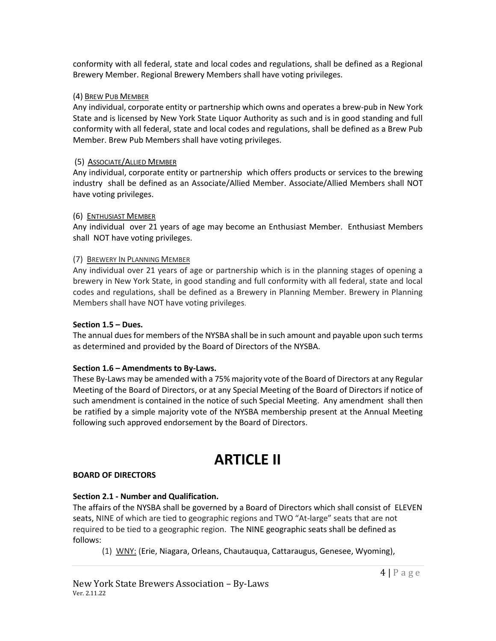conformity with all federal, state and local codes and regulations, shall be defined as a Regional Brewery Member. Regional Brewery Members shall have voting privileges.

## (4) BREW PUB MEMBER

Any individual, corporate entity or partnership which owns and operates a brew-pub in New York State and is licensed by New York State Liquor Authority as such and is in good standing and full conformity with all federal, state and local codes and regulations, shall be defined as a Brew Pub Member. Brew Pub Members shall have voting privileges.

## (5) ASSOCIATE/ALLIED MEMBER

Any individual, corporate entity or partnership which offers products or services to the brewing industry shall be defined as an Associate/Allied Member. Associate/Allied Members shall NOT have voting privileges.

## (6) ENTHUSIAST MEMBER

Any individual over 21 years of age may become an Enthusiast Member. Enthusiast Members shall NOT have voting privileges.

# (7) BREWERY IN PLANNING MEMBER

Any individual over 21 years of age or partnership which is in the planning stages of opening a brewery in New York State, in good standing and full conformity with all federal, state and local codes and regulations, shall be defined as a Brewery in Planning Member. Brewery in Planning Members shall have NOT have voting privileges.

## **Section 1.5 – Dues.**

The annual dues for members of the NYSBA shall be in such amount and payable upon such terms as determined and provided by the Board of Directors of the NYSBA.

## **Section 1.6 – Amendments to By-Laws.**

These By-Laws may be amended with a 75% majority vote of the Board of Directors at any Regular Meeting of the Board of Directors, or at any Special Meeting of the Board of Directors if notice of such amendment is contained in the notice of such Special Meeting. Any amendment shall then be ratified by a simple majority vote of the NYSBA membership present at the Annual Meeting following such approved endorsement by the Board of Directors.

# **ARTICLE II**

## **BOARD OF DIRECTORS**

# **Section 2.1 - Number and Qualification.**

The affairs of the NYSBA shall be governed by a Board of Directors which shall consist of ELEVEN seats, NINE of which are tied to geographic regions and TWO "At-large" seats that are not required to be tied to a geographic region. The NINE geographic seats shall be defined as follows:

(1) WNY: (Erie, Niagara, Orleans, Chautauqua, Cattaraugus, Genesee, Wyoming),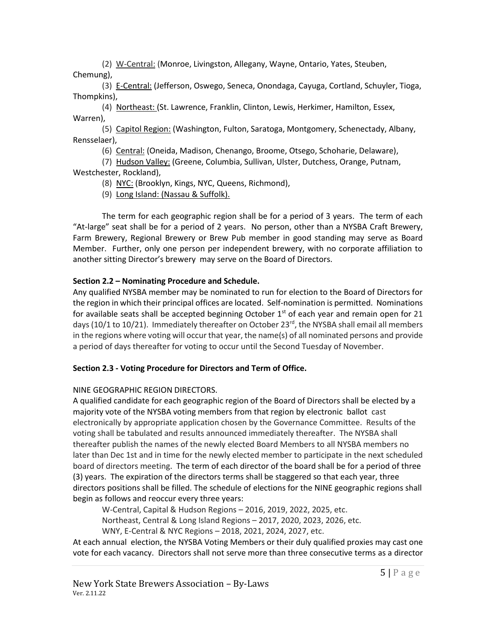(2) W-Central: (Monroe, Livingston, Allegany, Wayne, Ontario, Yates, Steuben, Chemung),

(3) E-Central: (Jefferson, Oswego, Seneca, Onondaga, Cayuga, Cortland, Schuyler, Tioga, Thompkins),

(4) Northeast: (St. Lawrence, Franklin, Clinton, Lewis, Herkimer, Hamilton, Essex, Warren),

(5) Capitol Region: (Washington, Fulton, Saratoga, Montgomery, Schenectady, Albany, Rensselaer),

(6) Central: (Oneida, Madison, Chenango, Broome, Otsego, Schoharie, Delaware),

(7) Hudson Valley: (Greene, Columbia, Sullivan, Ulster, Dutchess, Orange, Putnam, Westchester, Rockland),

(8) NYC: (Brooklyn, Kings, NYC, Queens, Richmond),

(9) Long Island: (Nassau & Suffolk).

The term for each geographic region shall be for a period of 3 years. The term of each "At-large" seat shall be for a period of 2 years. No person, other than a NYSBA Craft Brewery, Farm Brewery, Regional Brewery or Brew Pub member in good standing may serve as Board Member. Further, only one person per independent brewery, with no corporate affiliation to another sitting Director's brewery may serve on the Board of Directors.

# **Section 2.2 – Nominating Procedure and Schedule.**

Any qualified NYSBA member may be nominated to run for election to the Board of Directors for the region in which their principal offices are located. Self-nomination is permitted. Nominations for available seats shall be accepted beginning October  $1<sup>st</sup>$  of each year and remain open for 21 days (10/1 to 10/21). Immediately thereafter on October 23<sup>rd</sup>, the NYSBA shall email all members in the regions where voting will occur that year, the name(s) of all nominated persons and provide a period of days thereafter for voting to occur until the Second Tuesday of November.

# **Section 2.3 - Voting Procedure for Directors and Term of Office.**

# NINE GEOGRAPHIC REGION DIRECTORS.

A qualified candidate for each geographic region of the Board of Directors shall be elected by a majority vote of the NYSBA voting members from that region by electronic ballot cast electronically by appropriate application chosen by the Governance Committee. Results of the voting shall be tabulated and results announced immediately thereafter. The NYSBA shall thereafter publish the names of the newly elected Board Members to all NYSBA members no later than Dec 1st and in time for the newly elected member to participate in the next scheduled board of directors meeting. The term of each director of the board shall be for a period of three (3) years. The expiration of the directors terms shall be staggered so that each year, three directors positions shall be filled. The schedule of elections for the NINE geographic regions shall begin as follows and reoccur every three years:

W-Central, Capital & Hudson Regions – 2016, 2019, 2022, 2025, etc. Northeast, Central & Long Island Regions – 2017, 2020, 2023, 2026, etc.

WNY, E-Central & NYC Regions – 2018, 2021, 2024, 2027, etc.

At each annual election, the NYSBA Voting Members or their duly qualified proxies may cast one vote for each vacancy. Directors shall not serve more than three consecutive terms as a director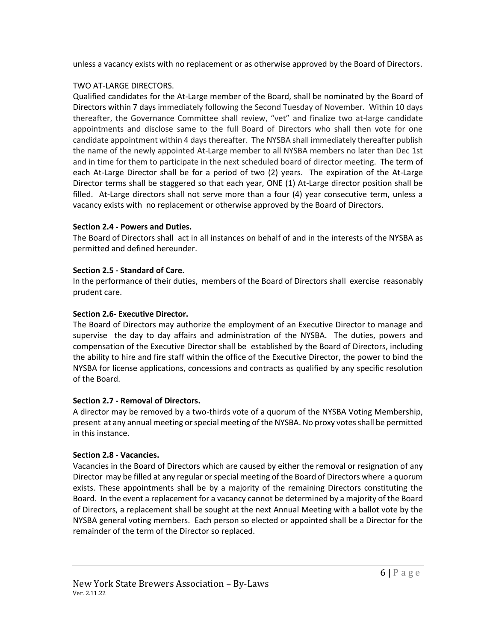unless a vacancy exists with no replacement or as otherwise approved by the Board of Directors.

# TWO AT-LARGE DIRECTORS.

Qualified candidates for the At-Large member of the Board, shall be nominated by the Board of Directors within 7 days immediately following the Second Tuesday of November. Within 10 days thereafter, the Governance Committee shall review, "vet" and finalize two at-large candidate appointments and disclose same to the full Board of Directors who shall then vote for one candidate appointment within 4 days thereafter. The NYSBA shall immediately thereafter publish the name of the newly appointed At-Large member to all NYSBA members no later than Dec 1st and in time for them to participate in the next scheduled board of director meeting. The term of each At-Large Director shall be for a period of two (2) years. The expiration of the At-Large Director terms shall be staggered so that each year, ONE (1) At-Large director position shall be filled. At-Large directors shall not serve more than a four (4) year consecutive term, unless a vacancy exists with no replacement or otherwise approved by the Board of Directors.

# **Section 2.4 - Powers and Duties.**

The Board of Directors shall act in all instances on behalf of and in the interests of the NYSBA as permitted and defined hereunder.

# **Section 2.5 - Standard of Care.**

In the performance of their duties, members of the Board of Directors shall exercise reasonably prudent care.

# **Section 2.6- Executive Director.**

The Board of Directors may authorize the employment of an Executive Director to manage and supervise the day to day affairs and administration of the NYSBA. The duties, powers and compensation of the Executive Director shall be established by the Board of Directors, including the ability to hire and fire staff within the office of the Executive Director, the power to bind the NYSBA for license applications, concessions and contracts as qualified by any specific resolution of the Board.

# **Section 2.7 - Removal of Directors.**

A director may be removed by a two-thirds vote of a quorum of the NYSBA Voting Membership, present at any annual meeting or special meeting of the NYSBA. No proxy votes shall be permitted in this instance.

# **Section 2.8 - Vacancies.**

Vacancies in the Board of Directors which are caused by either the removal or resignation of any Director may be filled at any regular or special meeting of the Board of Directors where a quorum exists. These appointments shall be by a majority of the remaining Directors constituting the Board. In the event a replacement for a vacancy cannot be determined by a majority of the Board of Directors, a replacement shall be sought at the next Annual Meeting with a ballot vote by the NYSBA general voting members. Each person so elected or appointed shall be a Director for the remainder of the term of the Director so replaced.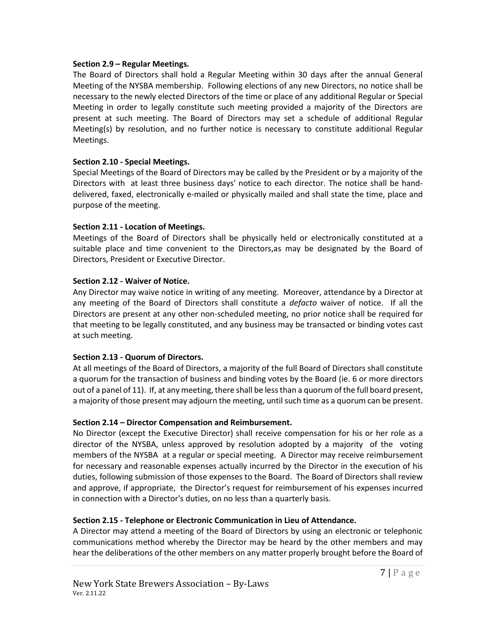### **Section 2.9 – Regular Meetings.**

The Board of Directors shall hold a Regular Meeting within 30 days after the annual General Meeting of the NYSBA membership. Following elections of any new Directors, no notice shall be necessary to the newly elected Directors of the time or place of any additional Regular or Special Meeting in order to legally constitute such meeting provided a majority of the Directors are present at such meeting. The Board of Directors may set a schedule of additional Regular Meeting(s) by resolution, and no further notice is necessary to constitute additional Regular Meetings.

## **Section 2.10 - Special Meetings.**

Special Meetings of the Board of Directors may be called by the President or by a majority of the Directors with at least three business days' notice to each director. The notice shall be handdelivered, faxed, electronically e-mailed or physically mailed and shall state the time, place and purpose of the meeting.

### **Section 2.11 - Location of Meetings.**

Meetings of the Board of Directors shall be physically held or electronically constituted at a suitable place and time convenient to the Directors,as may be designated by the Board of Directors, President or Executive Director.

### **Section 2.12 - Waiver of Notice.**

Any Director may waive notice in writing of any meeting. Moreover, attendance by a Director at any meeting of the Board of Directors shall constitute a *defacto* waiver of notice. If all the Directors are present at any other non-scheduled meeting, no prior notice shall be required for that meeting to be legally constituted, and any business may be transacted or binding votes cast at such meeting.

## **Section 2.13 - Quorum of Directors.**

At all meetings of the Board of Directors, a majority of the full Board of Directors shall constitute a quorum for the transaction of business and binding votes by the Board (ie. 6 or more directors out of a panel of 11). If, at any meeting, there shall be less than a quorum of the full board present, a majority of those present may adjourn the meeting, until such time as a quorum can be present.

#### **Section 2.14 – Director Compensation and Reimbursement.**

No Director (except the Executive Director) shall receive compensation for his or her role as a director of the NYSBA, unless approved by resolution adopted by a majority of the voting members of the NYSBA at a regular or special meeting. A Director may receive reimbursement for necessary and reasonable expenses actually incurred by the Director in the execution of his duties, following submission of those expenses to the Board. The Board of Directors shall review and approve, if appropriate, the Director's request for reimbursement of his expenses incurred in connection with a Director's duties, on no less than a quarterly basis.

## **Section 2.15 - Telephone or Electronic Communication in Lieu of Attendance.**

A Director may attend a meeting of the Board of Directors by using an electronic or telephonic communications method whereby the Director may be heard by the other members and may hear the deliberations of the other members on any matter properly brought before the Board of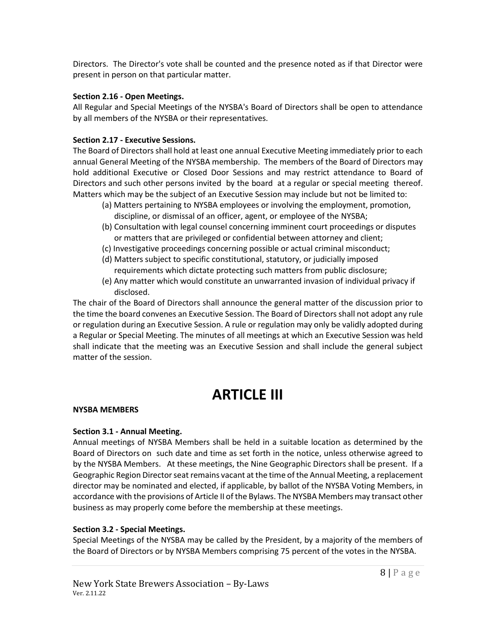Directors. The Director's vote shall be counted and the presence noted as if that Director were present in person on that particular matter.

### **Section 2.16 - Open Meetings.**

All Regular and Special Meetings of the NYSBA's Board of Directors shall be open to attendance by all members of the NYSBA or their representatives.

## **Section 2.17 - Executive Sessions.**

The Board of Directors shall hold at least one annual Executive Meeting immediately prior to each annual General Meeting of the NYSBA membership. The members of the Board of Directors may hold additional Executive or Closed Door Sessions and may restrict attendance to Board of Directors and such other persons invited by the board at a regular or special meeting thereof. Matters which may be the subject of an Executive Session may include but not be limited to:

- (a) Matters pertaining to NYSBA employees or involving the employment, promotion, discipline, or dismissal of an officer, agent, or employee of the NYSBA;
- (b) Consultation with legal counsel concerning imminent court proceedings or disputes or matters that are privileged or confidential between attorney and client;
- (c) Investigative proceedings concerning possible or actual criminal misconduct;
- (d) Matters subject to specific constitutional, statutory, or judicially imposed requirements which dictate protecting such matters from public disclosure;
- (e) Any matter which would constitute an unwarranted invasion of individual privacy if disclosed.

The chair of the Board of Directors shall announce the general matter of the discussion prior to the time the board convenes an Executive Session. The Board of Directors shall not adopt any rule or regulation during an Executive Session. A rule or regulation may only be validly adopted during a Regular or Special Meeting. The minutes of all meetings at which an Executive Session was held shall indicate that the meeting was an Executive Session and shall include the general subject matter of the session.

# **ARTICLE III**

## **NYSBA MEMBERS**

## **Section 3.1 - Annual Meeting.**

Annual meetings of NYSBA Members shall be held in a suitable location as determined by the Board of Directors on such date and time as set forth in the notice, unless otherwise agreed to by the NYSBA Members. At these meetings, the Nine Geographic Directors shall be present. If a Geographic Region Director seat remains vacant at the time of the Annual Meeting, a replacement director may be nominated and elected, if applicable, by ballot of the NYSBA Voting Members, in accordance with the provisions of Article II of the Bylaws. The NYSBA Members may transact other business as may properly come before the membership at these meetings.

## **Section 3.2 - Special Meetings.**

Special Meetings of the NYSBA may be called by the President, by a majority of the members of the Board of Directors or by NYSBA Members comprising 75 percent of the votes in the NYSBA.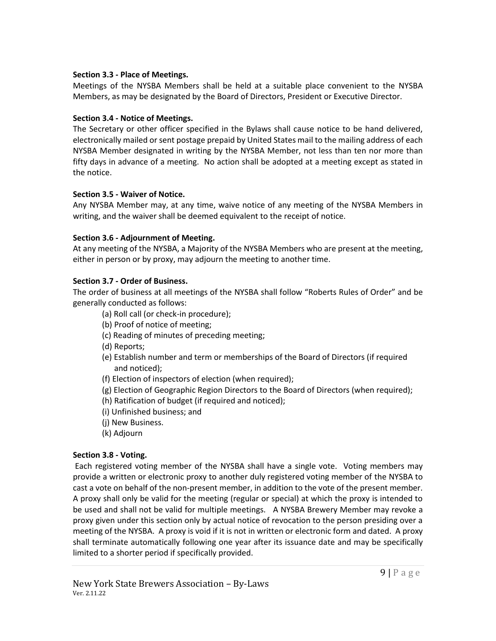## **Section 3.3 - Place of Meetings.**

Meetings of the NYSBA Members shall be held at a suitable place convenient to the NYSBA Members, as may be designated by the Board of Directors, President or Executive Director.

# **Section 3.4 - Notice of Meetings.**

The Secretary or other officer specified in the Bylaws shall cause notice to be hand delivered, electronically mailed or sent postage prepaid by United States mail to the mailing address of each NYSBA Member designated in writing by the NYSBA Member, not less than ten nor more than fifty days in advance of a meeting. No action shall be adopted at a meeting except as stated in the notice.

# **Section 3.5 - Waiver of Notice.**

Any NYSBA Member may, at any time, waive notice of any meeting of the NYSBA Members in writing, and the waiver shall be deemed equivalent to the receipt of notice.

# **Section 3.6 - Adjournment of Meeting.**

At any meeting of the NYSBA, a Majority of the NYSBA Members who are present at the meeting, either in person or by proxy, may adjourn the meeting to another time.

# **Section 3.7 - Order of Business.**

The order of business at all meetings of the NYSBA shall follow "Roberts Rules of Order" and be generally conducted as follows:

- (a) Roll call (or check-in procedure);
- (b) Proof of notice of meeting;
- (c) Reading of minutes of preceding meeting;
- (d) Reports;
- (e) Establish number and term or memberships of the Board of Directors (if required and noticed);
- (f) Election of inspectors of election (when required);
- (g) Election of Geographic Region Directors to the Board of Directors (when required);
- (h) Ratification of budget (if required and noticed);
- (i) Unfinished business; and
- (j) New Business.
- (k) Adjourn

# **Section 3.8 - Voting.**

Each registered voting member of the NYSBA shall have a single vote. Voting members may provide a written or electronic proxy to another duly registered voting member of the NYSBA to cast a vote on behalf of the non-present member, in addition to the vote of the present member. A proxy shall only be valid for the meeting (regular or special) at which the proxy is intended to be used and shall not be valid for multiple meetings. A NYSBA Brewery Member may revoke a proxy given under this section only by actual notice of revocation to the person presiding over a meeting of the NYSBA. A proxy is void if it is not in written or electronic form and dated. A proxy shall terminate automatically following one year after its issuance date and may be specifically limited to a shorter period if specifically provided.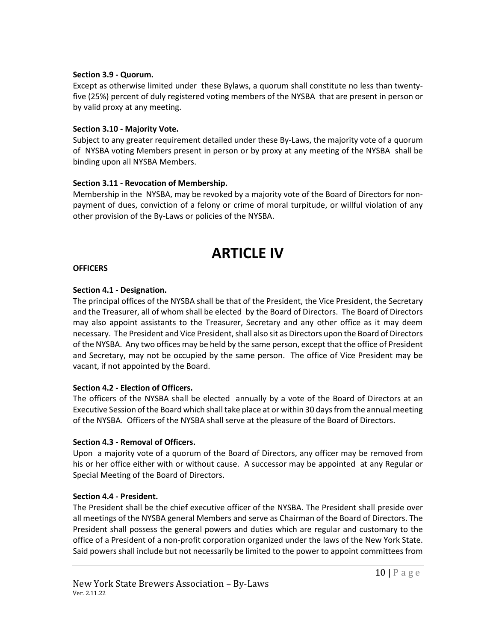### **Section 3.9 - Quorum.**

Except as otherwise limited under these Bylaws, a quorum shall constitute no less than twentyfive (25%) percent of duly registered voting members of the NYSBA that are present in person or by valid proxy at any meeting.

### **Section 3.10 - Majority Vote.**

Subject to any greater requirement detailed under these By-Laws, the majority vote of a quorum of NYSBA voting Members present in person or by proxy at any meeting of the NYSBA shall be binding upon all NYSBA Members.

### **Section 3.11 - Revocation of Membership.**

Membership in the NYSBA, may be revoked by a majority vote of the Board of Directors for nonpayment of dues, conviction of a felony or crime of moral turpitude, or willful violation of any other provision of the By-Laws or policies of the NYSBA.

# **ARTICLE IV**

#### **OFFICERS**

## **Section 4.1 - Designation.**

The principal offices of the NYSBA shall be that of the President, the Vice President, the Secretary and the Treasurer, all of whom shall be elected by the Board of Directors. The Board of Directors may also appoint assistants to the Treasurer, Secretary and any other office as it may deem necessary. The President and Vice President, shall also sit as Directors upon the Board of Directors of the NYSBA. Any two offices may be held by the same person, except that the office of President and Secretary, may not be occupied by the same person. The office of Vice President may be vacant, if not appointed by the Board.

#### **Section 4.2 - Election of Officers.**

The officers of the NYSBA shall be elected annually by a vote of the Board of Directors at an Executive Session of the Board which shall take place at or within 30 days from the annual meeting of the NYSBA. Officers of the NYSBA shall serve at the pleasure of the Board of Directors.

#### **Section 4.3 - Removal of Officers.**

Upon a majority vote of a quorum of the Board of Directors, any officer may be removed from his or her office either with or without cause. A successor may be appointed at any Regular or Special Meeting of the Board of Directors.

## **Section 4.4 - President.**

The President shall be the chief executive officer of the NYSBA. The President shall preside over all meetings of the NYSBA general Members and serve as Chairman of the Board of Directors. The President shall possess the general powers and duties which are regular and customary to the office of a President of a non-profit corporation organized under the laws of the New York State. Said powers shall include but not necessarily be limited to the power to appoint committees from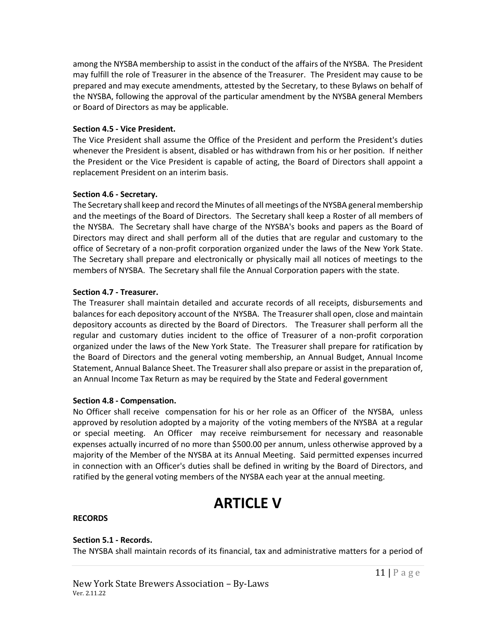among the NYSBA membership to assist in the conduct of the affairs of the NYSBA. The President may fulfill the role of Treasurer in the absence of the Treasurer. The President may cause to be prepared and may execute amendments, attested by the Secretary, to these Bylaws on behalf of the NYSBA, following the approval of the particular amendment by the NYSBA general Members or Board of Directors as may be applicable.

## **Section 4.5 - Vice President.**

The Vice President shall assume the Office of the President and perform the President's duties whenever the President is absent, disabled or has withdrawn from his or her position. If neither the President or the Vice President is capable of acting, the Board of Directors shall appoint a replacement President on an interim basis.

### **Section 4.6 - Secretary.**

The Secretary shall keep and record the Minutes of all meetings of the NYSBA general membership and the meetings of the Board of Directors. The Secretary shall keep a Roster of all members of the NYSBA. The Secretary shall have charge of the NYSBA's books and papers as the Board of Directors may direct and shall perform all of the duties that are regular and customary to the office of Secretary of a non-profit corporation organized under the laws of the New York State. The Secretary shall prepare and electronically or physically mail all notices of meetings to the members of NYSBA. The Secretary shall file the Annual Corporation papers with the state.

### **Section 4.7 - Treasurer.**

The Treasurer shall maintain detailed and accurate records of all receipts, disbursements and balances for each depository account of the NYSBA. The Treasurer shall open, close and maintain depository accounts as directed by the Board of Directors. The Treasurer shall perform all the regular and customary duties incident to the office of Treasurer of a non-profit corporation organized under the laws of the New York State. The Treasurer shall prepare for ratification by the Board of Directors and the general voting membership, an Annual Budget, Annual Income Statement, Annual Balance Sheet. The Treasurer shall also prepare or assist in the preparation of, an Annual Income Tax Return as may be required by the State and Federal government

#### **Section 4.8 - Compensation.**

No Officer shall receive compensation for his or her role as an Officer of the NYSBA, unless approved by resolution adopted by a majority of the voting members of the NYSBA at a regular or special meeting. An Officer may receive reimbursement for necessary and reasonable expenses actually incurred of no more than \$500.00 per annum, unless otherwise approved by a majority of the Member of the NYSBA at its Annual Meeting. Said permitted expenses incurred in connection with an Officer's duties shall be defined in writing by the Board of Directors, and ratified by the general voting members of the NYSBA each year at the annual meeting.

# **ARTICLE V**

#### **RECORDS**

#### **Section 5.1 - Records.**

The NYSBA shall maintain records of its financial, tax and administrative matters for a period of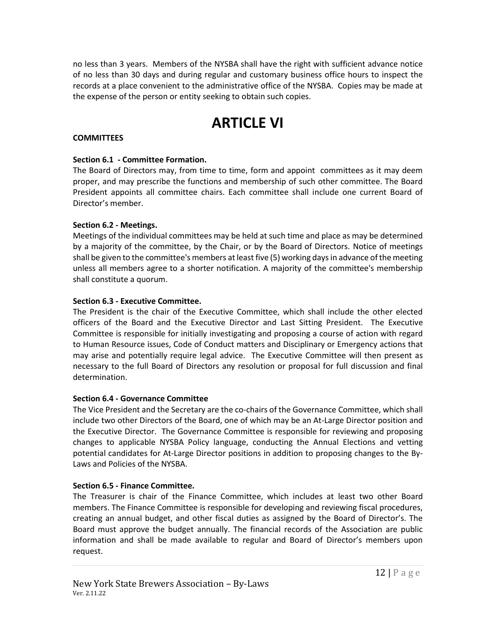no less than 3 years. Members of the NYSBA shall have the right with sufficient advance notice of no less than 30 days and during regular and customary business office hours to inspect the records at a place convenient to the administrative office of the NYSBA. Copies may be made at the expense of the person or entity seeking to obtain such copies.

# **ARTICLE VI**

## **COMMITTEES**

## **Section 6.1 - Committee Formation.**

The Board of Directors may, from time to time, form and appoint committees as it may deem proper, and may prescribe the functions and membership of such other committee. The Board President appoints all committee chairs. Each committee shall include one current Board of Director's member.

# **Section 6.2 - Meetings.**

Meetings of the individual committees may be held at such time and place as may be determined by a majority of the committee, by the Chair, or by the Board of Directors. Notice of meetings shall be given to the committee's members at least five (5) working days in advance of the meeting unless all members agree to a shorter notification. A majority of the committee's membership shall constitute a quorum.

# **Section 6.3 - Executive Committee.**

The President is the chair of the Executive Committee, which shall include the other elected officers of the Board and the Executive Director and Last Sitting President. The Executive Committee is responsible for initially investigating and proposing a course of action with regard to Human Resource issues, Code of Conduct matters and Disciplinary or Emergency actions that may arise and potentially require legal advice. The Executive Committee will then present as necessary to the full Board of Directors any resolution or proposal for full discussion and final determination.

# **Section 6.4 - Governance Committee**

The Vice President and the Secretary are the co-chairs of the Governance Committee, which shall include two other Directors of the Board, one of which may be an At-Large Director position and the Executive Director. The Governance Committee is responsible for reviewing and proposing changes to applicable NYSBA Policy language, conducting the Annual Elections and vetting potential candidates for At-Large Director positions in addition to proposing changes to the By-Laws and Policies of the NYSBA.

## **Section 6.5 - Finance Committee.**

The Treasurer is chair of the Finance Committee, which includes at least two other Board members. The Finance Committee is responsible for developing and reviewing fiscal procedures, creating an annual budget, and other fiscal duties as assigned by the Board of Director's. The Board must approve the budget annually. The financial records of the Association are public information and shall be made available to regular and Board of Director's members upon request.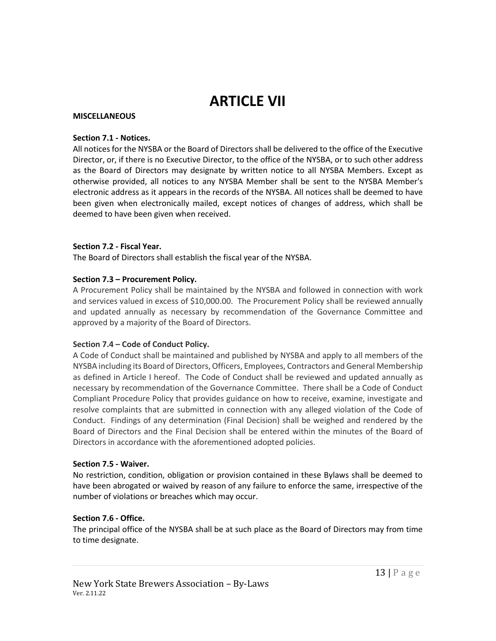# **ARTICLE VII**

### **MISCELLANEOUS**

### **Section 7.1 - Notices.**

All notices for the NYSBA or the Board of Directors shall be delivered to the office of the Executive Director, or, if there is no Executive Director, to the office of the NYSBA, or to such other address as the Board of Directors may designate by written notice to all NYSBA Members. Except as otherwise provided, all notices to any NYSBA Member shall be sent to the NYSBA Member's electronic address as it appears in the records of the NYSBA. All notices shall be deemed to have been given when electronically mailed, except notices of changes of address, which shall be deemed to have been given when received.

## **Section 7.2 - Fiscal Year.**

The Board of Directors shall establish the fiscal year of the NYSBA.

## **Section 7.3 – Procurement Policy.**

A Procurement Policy shall be maintained by the NYSBA and followed in connection with work and services valued in excess of \$10,000.00. The Procurement Policy shall be reviewed annually and updated annually as necessary by recommendation of the Governance Committee and approved by a majority of the Board of Directors.

#### **Section 7.4 – Code of Conduct Policy.**

A Code of Conduct shall be maintained and published by NYSBA and apply to all members of the NYSBA including its Board of Directors, Officers, Employees, Contractors and General Membership as defined in Article I hereof. The Code of Conduct shall be reviewed and updated annually as necessary by recommendation of the Governance Committee. There shall be a Code of Conduct Compliant Procedure Policy that provides guidance on how to receive, examine, investigate and resolve complaints that are submitted in connection with any alleged violation of the Code of Conduct. Findings of any determination (Final Decision) shall be weighed and rendered by the Board of Directors and the Final Decision shall be entered within the minutes of the Board of Directors in accordance with the aforementioned adopted policies.

#### **Section 7.5 - Waiver.**

No restriction, condition, obligation or provision contained in these Bylaws shall be deemed to have been abrogated or waived by reason of any failure to enforce the same, irrespective of the number of violations or breaches which may occur.

## **Section 7.6 - Office.**

The principal office of the NYSBA shall be at such place as the Board of Directors may from time to time designate.